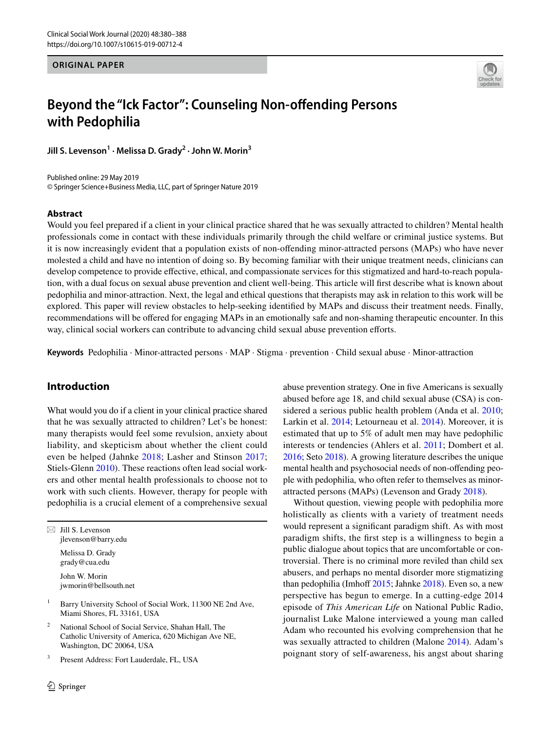**ORIGINAL PAPER**



# **Beyond the "Ick Factor": Counseling Non‑ofending Persons with Pedophilia**

**Jill S. Levenson<sup>1</sup> · Melissa D. Grady2 · John W. Morin3**

Published online: 29 May 2019 © Springer Science+Business Media, LLC, part of Springer Nature 2019

#### **Abstract**

Would you feel prepared if a client in your clinical practice shared that he was sexually attracted to children? Mental health professionals come in contact with these individuals primarily through the child welfare or criminal justice systems. But it is now increasingly evident that a population exists of non-ofending minor-attracted persons (MAPs) who have never molested a child and have no intention of doing so. By becoming familiar with their unique treatment needs, clinicians can develop competence to provide efective, ethical, and compassionate services for this stigmatized and hard-to-reach population, with a dual focus on sexual abuse prevention and client well-being. This article will frst describe what is known about pedophilia and minor-attraction. Next, the legal and ethical questions that therapists may ask in relation to this work will be explored. This paper will review obstacles to help-seeking identifed by MAPs and discuss their treatment needs. Finally, recommendations will be ofered for engaging MAPs in an emotionally safe and non-shaming therapeutic encounter. In this way, clinical social workers can contribute to advancing child sexual abuse prevention efforts.

**Keywords** Pedophilia · Minor-attracted persons · MAP · Stigma · prevention · Child sexual abuse · Minor-attraction

# **Introduction**

What would you do if a client in your clinical practice shared that he was sexually attracted to children? Let's be honest: many therapists would feel some revulsion, anxiety about liability, and skepticism about whether the client could even be helped (Jahnke [2018](#page-7-0); Lasher and Stinson [2017](#page-8-0); Stiels-Glenn [2010](#page-8-1)). These reactions often lead social workers and other mental health professionals to choose not to work with such clients. However, therapy for people with pedophilia is a crucial element of a comprehensive sexual

 $\boxtimes$  Jill S. Levenson jlevenson@barry.edu Melissa D. Grady grady@cua.edu

John W. Morin jwmorin@bellsouth.net

- <sup>1</sup> Barry University School of Social Work, 11300 NE 2nd Ave, Miami Shores, FL 33161, USA
- <sup>2</sup> National School of Social Service, Shahan Hall, The Catholic University of America, 620 Michigan Ave NE, Washington, DC 20064, USA
- <sup>3</sup> Present Address: Fort Lauderdale, FL, USA

abuse prevention strategy. One in fve Americans is sexually abused before age 18, and child sexual abuse (CSA) is considered a serious public health problem (Anda et al. [2010](#page-7-1); Larkin et al. [2014;](#page-8-2) Letourneau et al. [2014\)](#page-8-3). Moreover, it is estimated that up to 5% of adult men may have pedophilic interests or tendencies (Ahlers et al. [2011;](#page-7-2) Dombert et al. [2016](#page-7-3); Seto [2018](#page-8-4)). A growing literature describes the unique mental health and psychosocial needs of non-ofending people with pedophilia, who often refer to themselves as minorattracted persons (MAPs) (Levenson and Grady [2018](#page-8-5)).

Without question, viewing people with pedophilia more holistically as clients with a variety of treatment needs would represent a signifcant paradigm shift. As with most paradigm shifts, the frst step is a willingness to begin a public dialogue about topics that are uncomfortable or controversial. There is no criminal more reviled than child sex abusers, and perhaps no mental disorder more stigmatizing than pedophilia (Imhoff [2015](#page-7-4); Jahnke [2018](#page-7-0)). Even so, a new perspective has begun to emerge. In a cutting-edge 2014 episode of *This American Life* on National Public Radio, journalist Luke Malone interviewed a young man called Adam who recounted his evolving comprehension that he was sexually attracted to children (Malone [2014\)](#page-8-6). Adam's poignant story of self-awareness, his angst about sharing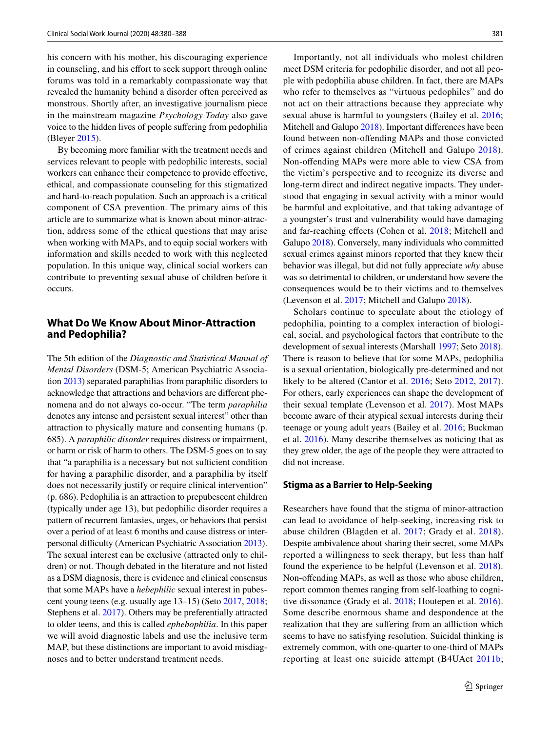his concern with his mother, his discouraging experience in counseling, and his effort to seek support through online forums was told in a remarkably compassionate way that revealed the humanity behind a disorder often perceived as monstrous. Shortly after, an investigative journalism piece in the mainstream magazine *Psychology Today* also gave voice to the hidden lives of people sufering from pedophilia (Bleyer [2015\)](#page-7-5).

By becoming more familiar with the treatment needs and services relevant to people with pedophilic interests, social workers can enhance their competence to provide efective, ethical, and compassionate counseling for this stigmatized and hard-to-reach population. Such an approach is a critical component of CSA prevention. The primary aims of this article are to summarize what is known about minor-attraction, address some of the ethical questions that may arise when working with MAPs, and to equip social workers with information and skills needed to work with this neglected population. In this unique way, clinical social workers can contribute to preventing sexual abuse of children before it occurs.

# **What Do We Know About Minor‑Attraction and Pedophilia?**

The 5th edition of the *Diagnostic and Statistical Manual of Mental Disorders* (DSM-5; American Psychiatric Association [2013\)](#page-7-6) separated paraphilias from paraphilic disorders to acknowledge that attractions and behaviors are diferent phenomena and do not always co-occur. "The term *paraphilia* denotes any intense and persistent sexual interest" other than attraction to physically mature and consenting humans (p. 685). A *paraphilic disorder* requires distress or impairment, or harm or risk of harm to others. The DSM-5 goes on to say that "a paraphilia is a necessary but not sufficient condition for having a paraphilic disorder, and a paraphilia by itself does not necessarily justify or require clinical intervention" (p. 686). Pedophilia is an attraction to prepubescent children (typically under age 13), but pedophilic disorder requires a pattern of recurrent fantasies, urges, or behaviors that persist over a period of at least 6 months and cause distress or inter-personal difficulty (American Psychiatric Association [2013](#page-7-6)). The sexual interest can be exclusive (attracted only to children) or not. Though debated in the literature and not listed as a DSM diagnosis, there is evidence and clinical consensus that some MAPs have a *hebephilic* sexual interest in pubescent young teens (e.g. usually age 13–15) (Seto [2017](#page-8-7), [2018](#page-8-4); Stephens et al. [2017\)](#page-8-8). Others may be preferentially attracted to older teens, and this is called *ephebophilia*. In this paper we will avoid diagnostic labels and use the inclusive term MAP, but these distinctions are important to avoid misdiagnoses and to better understand treatment needs.

Importantly, not all individuals who molest children meet DSM criteria for pedophilic disorder, and not all people with pedophilia abuse children. In fact, there are MAPs who refer to themselves as "virtuous pedophiles" and do not act on their attractions because they appreciate why sexual abuse is harmful to youngsters (Bailey et al. [2016](#page-7-7); Mitchell and Galupo [2018\)](#page-8-9). Important diferences have been found between non-ofending MAPs and those convicted of crimes against children (Mitchell and Galupo [2018](#page-8-9)). Non-offending MAPs were more able to view CSA from the victim's perspective and to recognize its diverse and long-term direct and indirect negative impacts. They understood that engaging in sexual activity with a minor would be harmful and exploitative, and that taking advantage of a youngster's trust and vulnerability would have damaging and far-reaching efects (Cohen et al. [2018](#page-7-8); Mitchell and Galupo [2018](#page-8-9)). Conversely, many individuals who committed sexual crimes against minors reported that they knew their behavior was illegal, but did not fully appreciate *why* abuse was so detrimental to children, or understand how severe the consequences would be to their victims and to themselves (Levenson et al. [2017;](#page-8-10) Mitchell and Galupo [2018](#page-8-9)).

Scholars continue to speculate about the etiology of pedophilia, pointing to a complex interaction of biological, social, and psychological factors that contribute to the development of sexual interests (Marshall [1997;](#page-8-11) Seto [2018](#page-8-4)). There is reason to believe that for some MAPs, pedophilia is a sexual orientation, biologically pre-determined and not likely to be altered (Cantor et al. [2016;](#page-7-9) Seto [2012](#page-8-12), [2017](#page-8-7)). For others, early experiences can shape the development of their sexual template (Levenson et al. [2017](#page-8-13)). Most MAPs become aware of their atypical sexual interests during their teenage or young adult years (Bailey et al. [2016](#page-7-7); Buckman et al. [2016\)](#page-7-10). Many describe themselves as noticing that as they grew older, the age of the people they were attracted to did not increase.

### **Stigma as a Barrier to Help‑Seeking**

Researchers have found that the stigma of minor-attraction can lead to avoidance of help-seeking, increasing risk to abuse children (Blagden et al. [2017](#page-7-11); Grady et al. [2018](#page-7-12)). Despite ambivalence about sharing their secret, some MAPs reported a willingness to seek therapy, but less than half found the experience to be helpful (Levenson et al. [2018](#page-8-5)). Non-offending MAPs, as well as those who abuse children, report common themes ranging from self-loathing to cognitive dissonance (Grady et al. [2018;](#page-7-12) Houtepen et al. [2016](#page-7-13)). Some describe enormous shame and despondence at the realization that they are suffering from an affliction which seems to have no satisfying resolution. Suicidal thinking is extremely common, with one-quarter to one-third of MAPs reporting at least one suicide attempt (B4UAct [2011b](#page-7-14);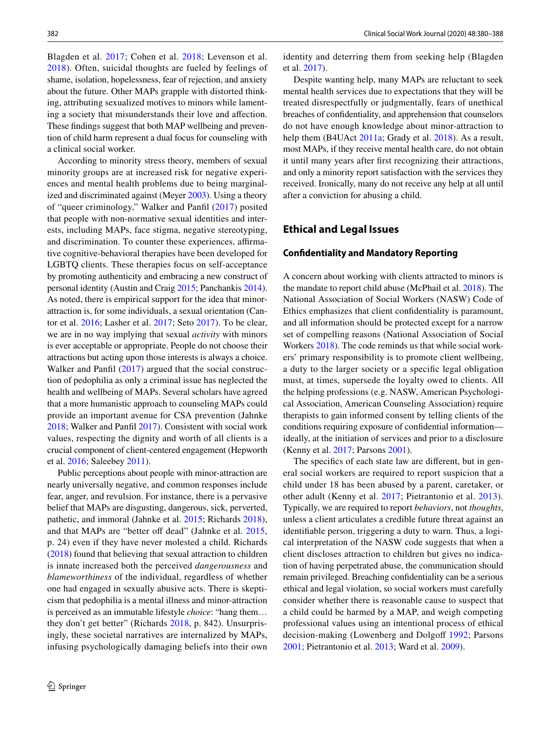Blagden et al. [2017](#page-7-11); Cohen et al. [2018;](#page-7-8) Levenson et al. [2018\)](#page-8-5). Often, suicidal thoughts are fueled by feelings of shame, isolation, hopelessness, fear of rejection, and anxiety about the future. Other MAPs grapple with distorted thinking, attributing sexualized motives to minors while lamenting a society that misunderstands their love and afection. These fndings suggest that both MAP wellbeing and prevention of child harm represent a dual focus for counseling with a clinical social worker.

According to minority stress theory, members of sexual minority groups are at increased risk for negative experiences and mental health problems due to being marginal-ized and discriminated against (Meyer [2003](#page-8-14)). Using a theory of "queer criminology," Walker and Panfl ([2017](#page-8-15)) posited that people with non-normative sexual identities and interests, including MAPs, face stigma, negative stereotyping, and discrimination. To counter these experiences, affirmative cognitive-behavioral therapies have been developed for LGBTQ clients. These therapies focus on self-acceptance by promoting authenticity and embracing a new construct of personal identity (Austin and Craig [2015](#page-7-15); Panchankis [2014](#page-8-16)). As noted, there is empirical support for the idea that minorattraction is, for some individuals, a sexual orientation (Cantor et al. [2016;](#page-7-9) Lasher et al. [2017](#page-8-0); Seto [2017\)](#page-8-7). To be clear, we are in no way implying that sexual *activity* with minors is ever acceptable or appropriate. People do not choose their attractions but acting upon those interests is always a choice. Walker and Panfil ([2017](#page-8-15)) argued that the social construction of pedophilia as only a criminal issue has neglected the health and wellbeing of MAPs. Several scholars have agreed that a more humanistic approach to counseling MAPs could provide an important avenue for CSA prevention (Jahnke [2018](#page-7-0); Walker and Panfl [2017](#page-8-15)). Consistent with social work values, respecting the dignity and worth of all clients is a crucial component of client-centered engagement (Hepworth et al. [2016](#page-7-16); Saleebey [2011](#page-8-17)).

Public perceptions about people with minor-attraction are nearly universally negative, and common responses include fear, anger, and revulsion. For instance, there is a pervasive belief that MAPs are disgusting, dangerous, sick, perverted, pathetic, and immoral (Jahnke et al. [2015](#page-7-17); Richards [2018](#page-8-18)), and that MAPs are "better off dead" (Jahnke et al. [2015,](#page-7-18) p. 24) even if they have never molested a child. Richards [\(2018](#page-8-18)) found that believing that sexual attraction to children is innate increased both the perceived *dangerousness* and *blameworthiness* of the individual, regardless of whether one had engaged in sexually abusive acts. There is skepticism that pedophilia is a mental illness and minor-attraction is perceived as an immutable lifestyle *choice*: "hang them… they don't get better" (Richards [2018,](#page-8-18) p. 842). Unsurprisingly, these societal narratives are internalized by MAPs, infusing psychologically damaging beliefs into their own identity and deterring them from seeking help (Blagden et al. [2017](#page-7-11)).

Despite wanting help, many MAPs are reluctant to seek mental health services due to expectations that they will be treated disrespectfully or judgmentally, fears of unethical breaches of confdentiality, and apprehension that counselors do not have enough knowledge about minor-attraction to help them (B4UAct [2011a](#page-7-19); Grady et al. [2018](#page-7-12)). As a result, most MAPs, if they receive mental health care, do not obtain it until many years after frst recognizing their attractions, and only a minority report satisfaction with the services they received. Ironically, many do not receive any help at all until after a conviction for abusing a child.

## **Ethical and Legal Issues**

#### **Confdentiality and Mandatory Reporting**

A concern about working with clients attracted to minors is the mandate to report child abuse (McPhail et al. [2018\)](#page-8-19). The National Association of Social Workers (NASW) Code of Ethics emphasizes that client confdentiality is paramount, and all information should be protected except for a narrow set of compelling reasons (National Association of Social Workers [2018\)](#page-8-20). The code reminds us that while social workers' primary responsibility is to promote client wellbeing, a duty to the larger society or a specifc legal obligation must, at times, supersede the loyalty owed to clients. All the helping professions (e.g. NASW, American Psychological Association, American Counseling Association) require therapists to gain informed consent by telling clients of the conditions requiring exposure of confdential information ideally, at the initiation of services and prior to a disclosure (Kenny et al. [2017;](#page-7-20) Parsons [2001\)](#page-8-21).

The specifcs of each state law are diferent, but in general social workers are required to report suspicion that a child under 18 has been abused by a parent, caretaker, or other adult (Kenny et al. [2017](#page-7-20); Pietrantonio et al. [2013](#page-8-22)). Typically, we are required to report *behaviors*, not *thoughts*, unless a client articulates a credible future threat against an identifable person, triggering a duty to warn. Thus, a logical interpretation of the NASW code suggests that when a client discloses attraction to children but gives no indication of having perpetrated abuse, the communication should remain privileged. Breaching confdentiality can be a serious ethical and legal violation, so social workers must carefully consider whether there is reasonable cause to suspect that a child could be harmed by a MAP, and weigh competing professional values using an intentional process of ethical decision-making (Lowenberg and Dolgoff [1992](#page-8-23); Parsons [2001](#page-8-21); Pietrantonio et al. [2013;](#page-8-22) Ward et al. [2009](#page-8-24)).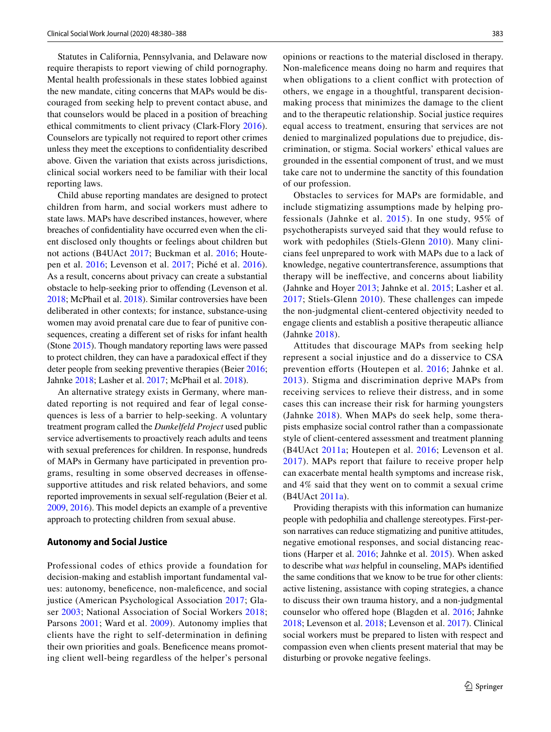Statutes in California, Pennsylvania, and Delaware now require therapists to report viewing of child pornography. Mental health professionals in these states lobbied against the new mandate, citing concerns that MAPs would be discouraged from seeking help to prevent contact abuse, and that counselors would be placed in a position of breaching ethical commitments to client privacy (Clark-Flory [2016](#page-7-21)). Counselors are typically not required to report other crimes unless they meet the exceptions to confdentiality described above. Given the variation that exists across jurisdictions, clinical social workers need to be familiar with their local reporting laws.

Child abuse reporting mandates are designed to protect children from harm, and social workers must adhere to state laws. MAPs have described instances, however, where breaches of confdentiality have occurred even when the client disclosed only thoughts or feelings about children but not actions (B4UAct [2017](#page-7-22); Buckman et al. [2016](#page-7-10); Houtepen et al. [2016](#page-7-13); Levenson et al. [2017;](#page-8-10) Piché et al. [2016](#page-8-25)). As a result, concerns about privacy can create a substantial obstacle to help-seeking prior to ofending (Levenson et al. [2018](#page-8-5); McPhail et al. [2018](#page-8-19)). Similar controversies have been deliberated in other contexts; for instance, substance-using women may avoid prenatal care due to fear of punitive consequences, creating a diferent set of risks for infant health (Stone [2015](#page-8-26)). Though mandatory reporting laws were passed to protect children, they can have a paradoxical efect if they deter people from seeking preventive therapies (Beier [2016](#page-7-23); Jahnke [2018](#page-7-0); Lasher et al. [2017;](#page-8-0) McPhail et al. [2018\)](#page-8-19).

An alternative strategy exists in Germany, where mandated reporting is not required and fear of legal consequences is less of a barrier to help-seeking. A voluntary treatment program called the *Dunkelfeld Project* used public service advertisements to proactively reach adults and teens with sexual preferences for children. In response, hundreds of MAPs in Germany have participated in prevention programs, resulting in some observed decreases in ofensesupportive attitudes and risk related behaviors, and some reported improvements in sexual self-regulation (Beier et al. [2009](#page-7-24), [2016\)](#page-7-25). This model depicts an example of a preventive approach to protecting children from sexual abuse.

#### **Autonomy and Social Justice**

Professional codes of ethics provide a foundation for decision-making and establish important fundamental values: autonomy, benefcence, non-malefcence, and social justice (American Psychological Association [2017;](#page-7-26) Glaser [2003](#page-7-27); National Association of Social Workers [2018](#page-8-20); Parsons [2001](#page-8-21); Ward et al. [2009](#page-8-24)). Autonomy implies that clients have the right to self-determination in defning their own priorities and goals. Benefcence means promoting client well-being regardless of the helper's personal opinions or reactions to the material disclosed in therapy. Non-malefcence means doing no harm and requires that when obligations to a client confict with protection of others, we engage in a thoughtful, transparent decisionmaking process that minimizes the damage to the client and to the therapeutic relationship. Social justice requires equal access to treatment, ensuring that services are not denied to marginalized populations due to prejudice, discrimination, or stigma. Social workers' ethical values are grounded in the essential component of trust, and we must take care not to undermine the sanctity of this foundation of our profession.

Obstacles to services for MAPs are formidable, and include stigmatizing assumptions made by helping professionals (Jahnke et al. [2015\)](#page-7-18). In one study, 95% of psychotherapists surveyed said that they would refuse to work with pedophiles (Stiels-Glenn [2010](#page-8-1)). Many clinicians feel unprepared to work with MAPs due to a lack of knowledge, negative countertransference, assumptions that therapy will be inefective, and concerns about liability (Jahnke and Hoyer [2013](#page-7-28); Jahnke et al. [2015;](#page-7-18) Lasher et al. [2017](#page-8-0); Stiels-Glenn [2010\)](#page-8-1). These challenges can impede the non-judgmental client-centered objectivity needed to engage clients and establish a positive therapeutic alliance (Jahnke [2018\)](#page-7-0).

Attitudes that discourage MAPs from seeking help represent a social injustice and do a disservice to CSA prevention efforts (Houtepen et al. [2016;](#page-7-13) Jahnke et al. [2013\)](#page-7-28). Stigma and discrimination deprive MAPs from receiving services to relieve their distress, and in some cases this can increase their risk for harming youngsters (Jahnke [2018\)](#page-7-0). When MAPs do seek help, some therapists emphasize social control rather than a compassionate style of client-centered assessment and treatment planning (B4UAct [2011a;](#page-7-19) Houtepen et al. [2016;](#page-7-13) Levenson et al. [2017](#page-8-10)). MAPs report that failure to receive proper help can exacerbate mental health symptoms and increase risk, and 4% said that they went on to commit a sexual crime (B4UAct [2011a\)](#page-7-19).

Providing therapists with this information can humanize people with pedophilia and challenge stereotypes. First-person narratives can reduce stigmatizing and punitive attitudes, negative emotional responses, and social distancing reactions (Harper et al. [2016](#page-7-29); Jahnke et al. [2015\)](#page-7-18). When asked to describe what *was* helpful in counseling, MAPs identifed the same conditions that we know to be true for other clients: active listening, assistance with coping strategies, a chance to discuss their own trauma history, and a non-judgmental counselor who ofered hope (Blagden et al. [2016](#page-7-30); Jahnke [2018](#page-7-0); Levenson et al. [2018](#page-8-5); Levenson et al. [2017\)](#page-8-10). Clinical social workers must be prepared to listen with respect and compassion even when clients present material that may be disturbing or provoke negative feelings.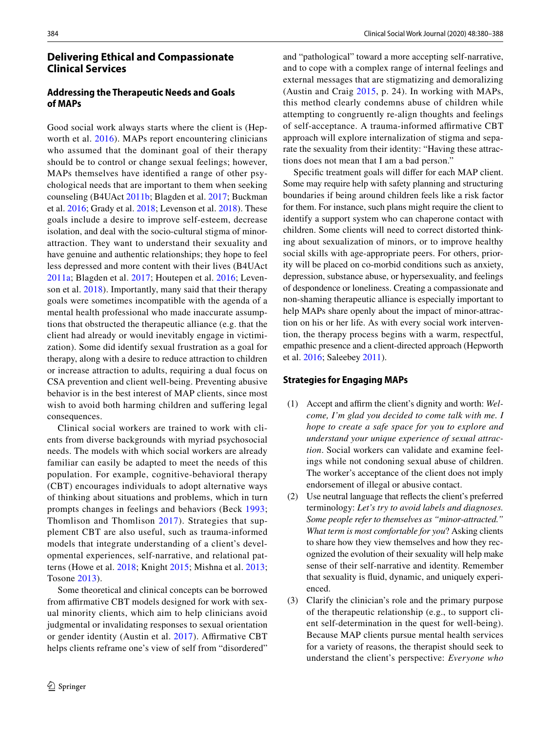# **Delivering Ethical and Compassionate Clinical Services**

## **Addressing the Therapeutic Needs and Goals of MAPs**

Good social work always starts where the client is (Hep-worth et al. [2016](#page-7-16)). MAPs report encountering clinicians who assumed that the dominant goal of their therapy should be to control or change sexual feelings; however, MAPs themselves have identifed a range of other psychological needs that are important to them when seeking counseling (B4UAct [2011b;](#page-7-14) Blagden et al. [2017](#page-7-11); Buckman et al. [2016](#page-7-10); Grady et al. [2018](#page-7-12); Levenson et al. [2018\)](#page-8-5). These goals include a desire to improve self-esteem, decrease isolation, and deal with the socio-cultural stigma of minorattraction. They want to understand their sexuality and have genuine and authentic relationships; they hope to feel less depressed and more content with their lives (B4UAct [2011a](#page-7-19); Blagden et al. [2017;](#page-7-11) Houtepen et al. [2016;](#page-7-13) Levenson et al. [2018](#page-8-5)). Importantly, many said that their therapy goals were sometimes incompatible with the agenda of a mental health professional who made inaccurate assumptions that obstructed the therapeutic alliance (e.g. that the client had already or would inevitably engage in victimization). Some did identify sexual frustration as a goal for therapy, along with a desire to reduce attraction to children or increase attraction to adults, requiring a dual focus on CSA prevention and client well-being. Preventing abusive behavior is in the best interest of MAP clients, since most wish to avoid both harming children and suffering legal consequences.

Clinical social workers are trained to work with clients from diverse backgrounds with myriad psychosocial needs. The models with which social workers are already familiar can easily be adapted to meet the needs of this population. For example, cognitive-behavioral therapy (CBT) encourages individuals to adopt alternative ways of thinking about situations and problems, which in turn prompts changes in feelings and behaviors (Beck [1993](#page-7-31); Thomlison and Thomlison [2017](#page-8-27)). Strategies that supplement CBT are also useful, such as trauma-informed models that integrate understanding of a client's developmental experiences, self-narrative, and relational patterns (Howe et al. [2018](#page-7-32); Knight [2015](#page-8-28); Mishna et al. [2013](#page-8-29); Tosone [2013\)](#page-8-30).

Some theoretical and clinical concepts can be borrowed from affirmative CBT models designed for work with sexual minority clients, which aim to help clinicians avoid judgmental or invalidating responses to sexual orientation or gender identity (Austin et al. [2017\)](#page-7-33). Affirmative CBT helps clients reframe one's view of self from "disordered"

and "pathological" toward a more accepting self-narrative, and to cope with a complex range of internal feelings and external messages that are stigmatizing and demoralizing (Austin and Craig [2015,](#page-7-15) p. 24). In working with MAPs, this method clearly condemns abuse of children while attempting to congruently re-align thoughts and feelings of self-acceptance. A trauma-informed affirmative CBT approach will explore internalization of stigma and separate the sexuality from their identity: "Having these attractions does not mean that I am a bad person."

Specifc treatment goals will difer for each MAP client. Some may require help with safety planning and structuring boundaries if being around children feels like a risk factor for them. For instance, such plans might require the client to identify a support system who can chaperone contact with children. Some clients will need to correct distorted thinking about sexualization of minors, or to improve healthy social skills with age-appropriate peers. For others, priority will be placed on co-morbid conditions such as anxiety, depression, substance abuse, or hypersexuality, and feelings of despondence or loneliness. Creating a compassionate and non-shaming therapeutic alliance is especially important to help MAPs share openly about the impact of minor-attraction on his or her life. As with every social work intervention, the therapy process begins with a warm, respectful, empathic presence and a client-directed approach (Hepworth et al. [2016](#page-7-16); Saleebey [2011](#page-8-17)).

### **Strategies for Engaging MAPs**

- (1) Accept and afrm the client's dignity and worth: *Welcome, I'm glad you decided to come talk with me. I hope to create a safe space for you to explore and understand your unique experience of sexual attraction*. Social workers can validate and examine feelings while not condoning sexual abuse of children. The worker's acceptance of the client does not imply endorsement of illegal or abusive contact.
- (2) Use neutral language that refects the client's preferred terminology: *Let's try to avoid labels and diagnoses. Some people refer to themselves as "minor*-*attracted." What term is most comfortable for you*? Asking clients to share how they view themselves and how they recognized the evolution of their sexuality will help make sense of their self-narrative and identity. Remember that sexuality is fuid, dynamic, and uniquely experienced.
- (3) Clarify the clinician's role and the primary purpose of the therapeutic relationship (e.g., to support client self-determination in the quest for well-being). Because MAP clients pursue mental health services for a variety of reasons, the therapist should seek to understand the client's perspective: *Everyone who*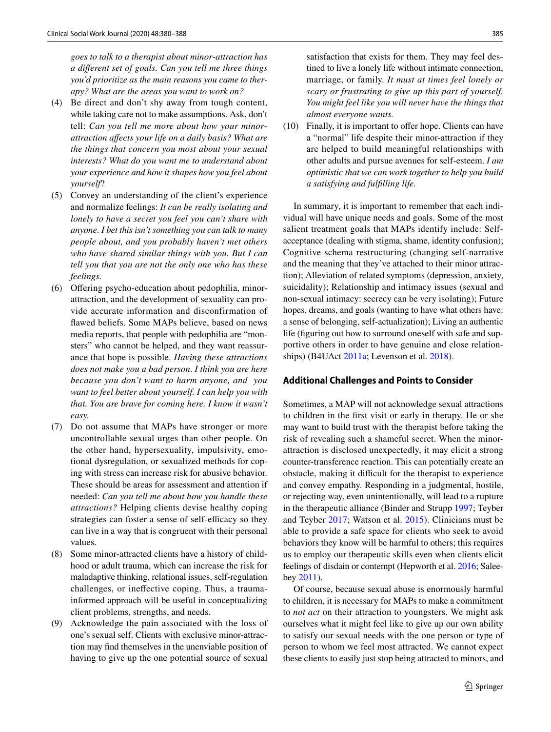*goes to talk to a therapist about minor*-*attraction has a diferent set of goals. Can you tell me three things you'd prioritize as the main reasons you came to therapy? What are the areas you want to work on?*

- (4) Be direct and don't shy away from tough content, while taking care not to make assumptions. Ask, don't tell: *Can you tell me more about how your minorattraction afects your life on a daily basis? What are the things that concern you most about your sexual interests? What do you want me to understand about your experience and how it shapes how you feel about yourself*?
- (5) Convey an understanding of the client's experience and normalize feelings: *It can be really isolating and lonely to have a secret you feel you can't share with anyone*. *I bet this isn't something you can talk to many people about, and you probably haven't met others who have shared similar things with you. But I can tell you that you are not the only one who has these feelings.*
- (6) Ofering psycho-education about pedophilia, minorattraction, and the development of sexuality can provide accurate information and disconfirmation of fawed beliefs. Some MAPs believe, based on news media reports, that people with pedophilia are "monsters" who cannot be helped, and they want reassurance that hope is possible. *Having these attractions does not make you a bad person*. *I think you are here because you don't want to harm anyone, and you want to feel better about yourself. I can help you with that. You are brave for coming here. I know it wasn't easy.*
- (7) Do not assume that MAPs have stronger or more uncontrollable sexual urges than other people. On the other hand, hypersexuality, impulsivity, emotional dysregulation, or sexualized methods for coping with stress can increase risk for abusive behavior. These should be areas for assessment and attention if needed: *Can you tell me about how you handle these attractions?* Helping clients devise healthy coping strategies can foster a sense of self-efficacy so they can live in a way that is congruent with their personal values.
- (8) Some minor-attracted clients have a history of childhood or adult trauma, which can increase the risk for maladaptive thinking, relational issues, self-regulation challenges, or inefective coping. Thus, a traumainformed approach will be useful in conceptualizing client problems, strengths, and needs.
- (9) Acknowledge the pain associated with the loss of one's sexual self. Clients with exclusive minor-attraction may fnd themselves in the unenviable position of having to give up the one potential source of sexual

satisfaction that exists for them. They may feel destined to live a lonely life without intimate connection, marriage, or family. *It must at times feel lonely or scary or frustrating to give up this part of yourself. You might feel like you will never have the things that almost everyone wants.*

(10) Finally, it is important to offer hope. Clients can have a "normal" life despite their minor-attraction if they are helped to build meaningful relationships with other adults and pursue avenues for self-esteem. *I am optimistic that we can work together to help you build a satisfying and fulflling life.*

In summary, it is important to remember that each individual will have unique needs and goals. Some of the most salient treatment goals that MAPs identify include: Selfacceptance (dealing with stigma, shame, identity confusion); Cognitive schema restructuring (changing self-narrative and the meaning that they've attached to their minor attraction); Alleviation of related symptoms (depression, anxiety, suicidality); Relationship and intimacy issues (sexual and non-sexual intimacy: secrecy can be very isolating); Future hopes, dreams, and goals (wanting to have what others have: a sense of belonging, self-actualization); Living an authentic life (fguring out how to surround oneself with safe and supportive others in order to have genuine and close relationships) (B4UAct [2011a](#page-7-19); Levenson et al. [2018](#page-8-5)).

#### **Additional Challenges and Points to Consider**

Sometimes, a MAP will not acknowledge sexual attractions to children in the frst visit or early in therapy. He or she may want to build trust with the therapist before taking the risk of revealing such a shameful secret. When the minorattraction is disclosed unexpectedly, it may elicit a strong counter-transference reaction. This can potentially create an obstacle, making it difficult for the therapist to experience and convey empathy. Responding in a judgmental, hostile, or rejecting way, even unintentionally, will lead to a rupture in the therapeutic alliance (Binder and Strupp [1997](#page-7-34); Teyber and Teyber [2017;](#page-8-31) Watson et al. [2015](#page-8-32)). Clinicians must be able to provide a safe space for clients who seek to avoid behaviors they know will be harmful to others; this requires us to employ our therapeutic skills even when clients elicit feelings of disdain or contempt (Hepworth et al. [2016;](#page-7-16) Saleebey [2011](#page-8-17)).

Of course, because sexual abuse is enormously harmful to children, it is necessary for MAPs to make a commitment to *not act* on their attraction to youngsters. We might ask ourselves what it might feel like to give up our own ability to satisfy our sexual needs with the one person or type of person to whom we feel most attracted. We cannot expect these clients to easily just stop being attracted to minors, and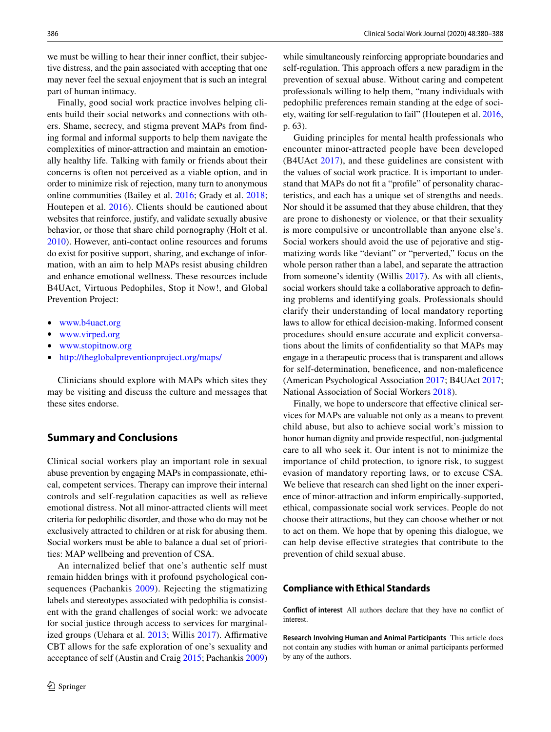we must be willing to hear their inner confict, their subjective distress, and the pain associated with accepting that one may never feel the sexual enjoyment that is such an integral part of human intimacy.

Finally, good social work practice involves helping clients build their social networks and connections with others. Shame, secrecy, and stigma prevent MAPs from fnding formal and informal supports to help them navigate the complexities of minor-attraction and maintain an emotionally healthy life. Talking with family or friends about their concerns is often not perceived as a viable option, and in order to minimize risk of rejection, many turn to anonymous online communities (Bailey et al. [2016;](#page-7-7) Grady et al. [2018](#page-7-12); Houtepen et al. [2016](#page-7-13)). Clients should be cautioned about websites that reinforce, justify, and validate sexually abusive behavior, or those that share child pornography (Holt et al. [2010](#page-7-35)). However, anti-contact online resources and forums do exist for positive support, sharing, and exchange of information, with an aim to help MAPs resist abusing children and enhance emotional wellness. These resources include B4UAct, Virtuous Pedophiles, Stop it Now!, and Global Prevention Project:

- [www.b4uact.org](http://www.b4uact.org)
- [www.virped.org](http://www.virped.org)
- [www.stopitnow.org](http://www.stopitnow.org)
- <http://theglobalpreventionproject.org/maps/>

Clinicians should explore with MAPs which sites they may be visiting and discuss the culture and messages that these sites endorse.

## **Summary and Conclusions**

Clinical social workers play an important role in sexual abuse prevention by engaging MAPs in compassionate, ethical, competent services. Therapy can improve their internal controls and self-regulation capacities as well as relieve emotional distress. Not all minor-attracted clients will meet criteria for pedophilic disorder, and those who do may not be exclusively attracted to children or at risk for abusing them. Social workers must be able to balance a dual set of priorities: MAP wellbeing and prevention of CSA.

An internalized belief that one's authentic self must remain hidden brings with it profound psychological consequences (Pachankis [2009](#page-8-33)). Rejecting the stigmatizing labels and stereotypes associated with pedophilia is consistent with the grand challenges of social work: we advocate for social justice through access to services for marginal-ized groups (Uehara et al. [2013](#page-8-34); Willis [2017\)](#page-8-35). Affirmative CBT allows for the safe exploration of one's sexuality and acceptance of self (Austin and Craig [2015](#page-7-15); Pachankis [2009\)](#page-8-33) while simultaneously reinforcing appropriate boundaries and self-regulation. This approach offers a new paradigm in the prevention of sexual abuse. Without caring and competent professionals willing to help them, "many individuals with pedophilic preferences remain standing at the edge of society, waiting for self-regulation to fail" (Houtepen et al. [2016,](#page-7-13) p. 63).

Guiding principles for mental health professionals who encounter minor-attracted people have been developed (B4UAct [2017](#page-7-22)), and these guidelines are consistent with the values of social work practice. It is important to understand that MAPs do not ft a "profle" of personality characteristics, and each has a unique set of strengths and needs. Nor should it be assumed that they abuse children, that they are prone to dishonesty or violence, or that their sexuality is more compulsive or uncontrollable than anyone else's. Social workers should avoid the use of pejorative and stigmatizing words like "deviant" or "perverted," focus on the whole person rather than a label, and separate the attraction from someone's identity (Willis [2017\)](#page-8-35). As with all clients, social workers should take a collaborative approach to defning problems and identifying goals. Professionals should clarify their understanding of local mandatory reporting laws to allow for ethical decision-making. Informed consent procedures should ensure accurate and explicit conversations about the limits of confdentiality so that MAPs may engage in a therapeutic process that is transparent and allows for self-determination, beneficence, and non-maleficence (American Psychological Association [2017;](#page-7-26) B4UAct [2017](#page-7-22); National Association of Social Workers [2018\)](#page-8-20).

Finally, we hope to underscore that efective clinical services for MAPs are valuable not only as a means to prevent child abuse, but also to achieve social work's mission to honor human dignity and provide respectful, non-judgmental care to all who seek it. Our intent is not to minimize the importance of child protection, to ignore risk, to suggest evasion of mandatory reporting laws, or to excuse CSA. We believe that research can shed light on the inner experience of minor-attraction and inform empirically-supported, ethical, compassionate social work services. People do not choose their attractions, but they can choose whether or not to act on them. We hope that by opening this dialogue, we can help devise efective strategies that contribute to the prevention of child sexual abuse.

#### **Compliance with Ethical Standards**

**Conflict of interest** All authors declare that they have no confict of interest.

**Research Involving Human and Animal Participants** This article does not contain any studies with human or animal participants performed by any of the authors.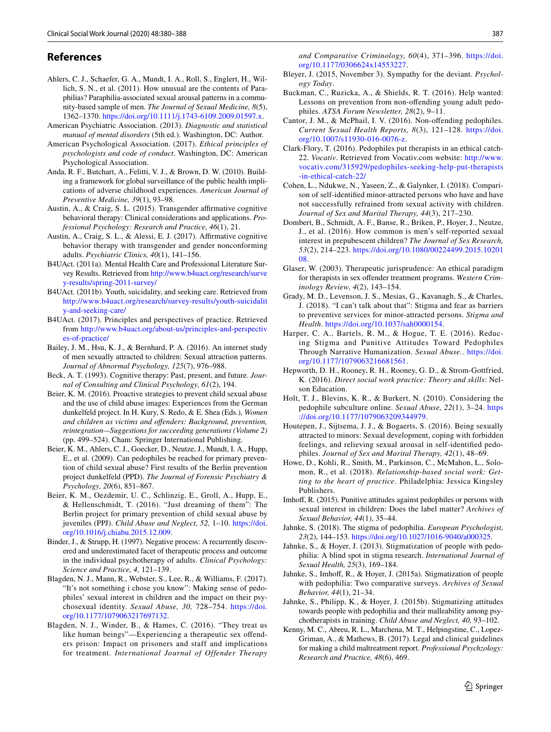## **References**

- <span id="page-7-2"></span>Ahlers, C. J., Schaefer, G. A., Mundt, I. A., Roll, S., Englert, H., Willich, S. N., et al. (2011). How unusual are the contents of Paraphilias? Paraphilia-associated sexual arousal patterns in a community-based sample of men. *The Journal of Sexual Medicine, 8*(5), 1362–1370. <https://doi.org/10.1111/j.1743-6109.2009.01597.x>.
- <span id="page-7-6"></span>American Psychiatric Association. (2013). *Diagnostic and statistical manual of mental disorders* (5th ed.). Washington, DC: Author.
- <span id="page-7-26"></span>American Psychological Association. (2017). *Ethical principles of psychologists and code of conduct*. Washington, DC: American Psychological Association.
- <span id="page-7-1"></span>Anda, R. F., Butchart, A., Felitti, V. J., & Brown, D. W. (2010). Building a framework for global surveillance of the public health implications of adverse childhood experiences. *American Journal of Preventive Medicine, 39*(1), 93–98.
- <span id="page-7-15"></span>Austin, A., & Craig, S. L. (2015). Transgender affirmative cognitive behavioral therapy: Clinical considerations and applications. *Professional Psychology: Research and Practice, 46*(1), 21.
- <span id="page-7-33"></span>Austin, A., Craig, S. L., & Alessi, E. J. (2017). Affirmative cognitive behavior therapy with transgender and gender nonconforming adults. *Psychiatric Clinics, 40*(1), 141–156.
- <span id="page-7-19"></span>B4UAct. (2011a). Mental Health Care and Professional Literature Survey Results. Retrieved from [http://www.b4uact.org/research/surve](http://www.b4uact.org/research/survey-results/spring-2011-survey/) [y-results/spring-2011-survey/](http://www.b4uact.org/research/survey-results/spring-2011-survey/)
- <span id="page-7-14"></span>B4UAct. (2011b). Youth, suicidality, and seeking care. Retrieved from [http://www.b4uact.org/research/survey-results/youth-suicidalit](http://www.b4uact.org/research/survey-results/youth-suicidality-and-seeking-care/) [y-and-seeking-care/](http://www.b4uact.org/research/survey-results/youth-suicidality-and-seeking-care/)
- <span id="page-7-22"></span>B4UAct. (2017). Principles and perspectives of practice. Retrieved from [http://www.b4uact.org/about-us/principles-and-perspectiv](http://www.b4uact.org/about-us/principles-and-perspectives-of-practice/) [es-of-practice/](http://www.b4uact.org/about-us/principles-and-perspectives-of-practice/)
- <span id="page-7-7"></span>Bailey, J. M., Hsu, K. J., & Bernhard, P. A. (2016). An internet study of men sexually attracted to children: Sexual attraction patterns. *Journal of Abnormal Psychology, 125*(7), 976–988.
- <span id="page-7-31"></span>Beck, A. T. (1993). Cognitive therapy: Past, present, and future. *Journal of Consulting and Clinical Psychology, 61*(2), 194.
- <span id="page-7-23"></span>Beier, K. M. (2016). Proactive strategies to prevent child sexual abuse and the use of child abuse images: Experiences from the German dunkelfeld project. In H. Kury, S. Redo, & E. Shea (Eds.), *Women and children as victims and ofenders: Background, prevention, reintegration—Suggestions for succeeding generations (Volume 2)* (pp. 499–524). Cham: Springer International Publishing.
- <span id="page-7-24"></span>Beier, K. M., Ahlers, C. J., Goecker, D., Neutze, J., Mundt, I. A., Hupp, E., et al. (2009). Can pedophiles be reached for primary prevention of child sexual abuse? First results of the Berlin prevention project dunkelfeld (PPD). *The Journal of Forensic Psychiatry & Psychology, 20*(6), 851–867.
- <span id="page-7-25"></span>Beier, K. M., Oezdemir, U. C., Schlinzig, E., Groll, A., Hupp, E., & Hellenschmidt, T. (2016). "Just dreaming of them": The Berlin project for primary prevention of child sexual abuse by juveniles (PPJ). *Child Abuse and Neglect, 52,* 1–10. [https://doi.](https://doi.org/10.1016/j.chiabu.2015.12.009) [org/10.1016/j.chiabu.2015.12.009.](https://doi.org/10.1016/j.chiabu.2015.12.009)
- <span id="page-7-34"></span>Binder, J., & Strupp, H. (1997). Negative process: A recurrently discovered and underestimated facet of therapeutic process and outcome in the individual psychotherapy of adults. *Clinical Psychology: Science and Practice, 4,* 121–139.
- <span id="page-7-11"></span>Blagden, N. J., Mann, R., Webster, S., Lee, R., & Williams, F. (2017). "It's not something i chose you know": Making sense of pedophiles' sexual interest in children and the impact on their psychosexual identity. *Sexual Abuse, 30,* 728–754. [https://doi.](https://doi.org/10.1177/1079063217697132) [org/10.1177/1079063217697132.](https://doi.org/10.1177/1079063217697132)
- <span id="page-7-30"></span>Blagden, N. J., Winder, B., & Hames, C. (2016). "They treat us like human beings"—Experiencing a therapeutic sex ofenders prison: Impact on prisoners and staff and implications for treatment. *International Journal of Offender Therapy*

*and Comparative Criminology, 60*(4), 371–396. [https://doi.](https://doi.org/10.1177/0306624x14553227) [org/10.1177/0306624x14553227](https://doi.org/10.1177/0306624x14553227).

- <span id="page-7-5"></span>Bleyer, J. (2015, November 3). Sympathy for the deviant. *Psychology Today*.
- <span id="page-7-10"></span>Buckman, C., Ruzicka, A., & Shields, R. T. (2016). Help wanted: Lessons on prevention from non-ofending young adult pedophiles. *ATSA Forum Newsletter, 28*(2), 9–11.
- <span id="page-7-9"></span>Cantor, J. M., & McPhail, I. V. (2016). Non-ofending pedophiles. *Current Sexual Health Reports, 8*(3), 121–128. [https://doi.](https://doi.org/10.1007/s11930-016-0076-z) [org/10.1007/s11930-016-0076-z.](https://doi.org/10.1007/s11930-016-0076-z)
- <span id="page-7-21"></span>Clark-Flory, T. (2016). Pedophiles put therapists in an ethical catch-22. *Vocativ*. Retrieved from Vocativ.com website: [http://www.](http://www.vocativ.com/315929/pedophiles-seeking-help-put-therapists-in-ethical-catch-22/) [vocativ.com/315929/pedophiles-seeking-help-put-therapists](http://www.vocativ.com/315929/pedophiles-seeking-help-put-therapists-in-ethical-catch-22/) [-in-ethical-catch-22/](http://www.vocativ.com/315929/pedophiles-seeking-help-put-therapists-in-ethical-catch-22/)
- <span id="page-7-8"></span>Cohen, L., Ndukwe, N., Yaseen, Z., & Galynker, I. (2018). Comparison of self-identifed minor-attracted persons who have and have not successfully refrained from sexual activity with children. *Journal of Sex and Marital Therapy, 44*(3), 217–230.
- <span id="page-7-3"></span>Dombert, B., Schmidt, A. F., Banse, R., Briken, P., Hoyer, J., Neutze, J., et al. (2016). How common is men's self-reported sexual interest in prepubescent children? *The Journal of Sex Research, 53*(2), 214–223. [https://doi.org/10.1080/00224499.2015.10201](https://doi.org/10.1080/00224499.2015.1020108) [08.](https://doi.org/10.1080/00224499.2015.1020108)
- <span id="page-7-27"></span>Glaser, W. (2003). Therapeutic jurisprudence: An ethical paradigm for therapists in sex ofender treatment programs. *Western Criminology Review, 4*(2), 143–154.
- <span id="page-7-12"></span>Grady, M. D., Levenson, J. S., Mesias, G., Kavanagh, S., & Charles, J. (2018). "I can't talk about that": Stigma and fear as barriers to preventive services for minor-attracted persons. *Stigma and Health*. <https://doi.org/10.1037/sah0000154>.
- <span id="page-7-29"></span>Harper, C. A., Bartels, R. M., & Hogue, T. E. (2016). Reducing Stigma and Punitive Attitudes Toward Pedophiles Through Narrative Humanization. *Sexual Abuse.*. [https://doi.](https://doi.org/10.1177/1079063216681561) [org/10.1177/1079063216681561](https://doi.org/10.1177/1079063216681561).
- <span id="page-7-16"></span>Hepworth, D. H., Rooney, R. H., Rooney, G. D., & Strom-Gottfried, K. (2016). *Direct social work practice: Theory and skills*: Nelson Education.
- <span id="page-7-35"></span>Holt, T. J., Blevins, K. R., & Burkert, N. (2010). Considering the pedophile subculture online. *Sexual Abuse, 22*(1), 3–24. [https](https://doi.org/10.1177/1079063209344979) [://doi.org/10.1177/1079063209344979](https://doi.org/10.1177/1079063209344979).
- <span id="page-7-13"></span>Houtepen, J., Sijtsema, J. J., & Bogaerts, S. (2016). Being sexually attracted to minors: Sexual development, coping with forbidden feelings, and relieving sexual arousal in self-identifed pedophiles. *Journal of Sex and Marital Therapy, 42*(1), 48–69.
- <span id="page-7-32"></span>Howe, D., Kohli, R., Smith, M., Parkinson, C., McMahon, L., Solomon, R., et al. (2018). *Relationship-based social work: Getting to the heart of practice*. Philadelphia: Jessica Kingsley Publishers.
- <span id="page-7-4"></span>Imhoff, R. (2015). Punitive attitudes against pedophiles or persons with sexual interest in children: Does the label matter? *Archives of Sexual Behavior, 44*(1), 35–44.
- <span id="page-7-0"></span>Jahnke, S. (2018). The stigma of pedophilia. *European Psychologist, 23*(2), 144–153. [https://doi.org/10.1027/1016-9040/a000325.](https://doi.org/10.1027/1016-9040/a000325)
- <span id="page-7-28"></span>Jahnke, S., & Hoyer, J. (2013). Stigmatization of people with pedophilia: A blind spot in stigma research. *International Journal of Sexual Health, 25*(3), 169–184.
- <span id="page-7-17"></span>Jahnke, S., Imhof, R., & Hoyer, J. (2015a). Stigmatization of people with pedophilia: Two comparative surveys. *Archives of Sexual Behavior, 44*(1), 21–34.
- <span id="page-7-18"></span>Jahnke, S., Philipp, K., & Hoyer, J. (2015b). Stigmatizing attitudes towards people with pedophilia and their malleability among psychotherapists in training. *Child Abuse and Neglect, 40,* 93–102.
- <span id="page-7-20"></span>Kenny, M. C., Abreu, R. L., Marchena, M. T., Helpingstine, C., Lopez-Griman, A., & Mathews, B. (2017). Legal and clinical guidelines for making a child maltreatment report. *Professional Psychzology: Research and Practice, 48*(6), 469.